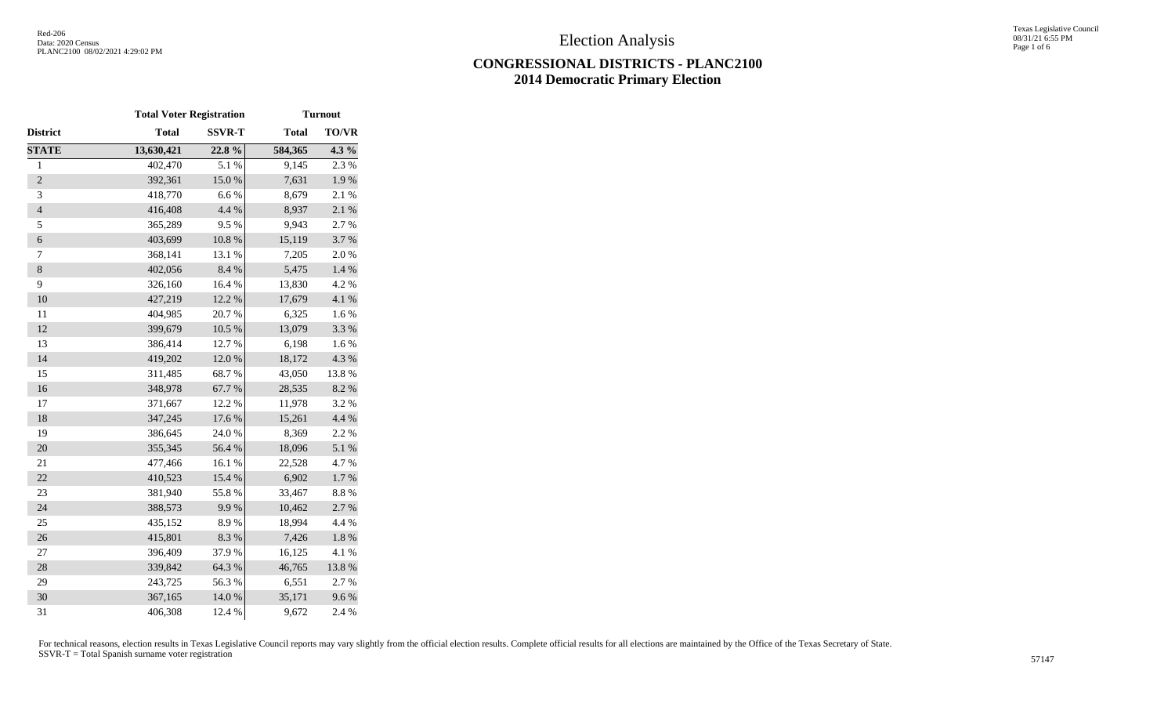# **CONGRESSIONAL DISTRICTS - PLANC2100 2014 Democratic Primary Election**

|                  | <b>Total Voter Registration</b> |               | <b>Turnout</b> |              |  |  |
|------------------|---------------------------------|---------------|----------------|--------------|--|--|
| District         | <b>Total</b>                    | <b>SSVR-T</b> | <b>Total</b>   | <b>TO/VR</b> |  |  |
| <b>STATE</b>     | 13,630,421                      | 22.8%         | 584,365        | 4.3 %        |  |  |
| $\mathbf{1}$     | 402,470                         | 5.1 %         | 9,145          | 2.3%         |  |  |
| $\overline{2}$   | 392,361                         | 15.0%         | 7,631          | $1.9\ \%$    |  |  |
| 3                | 418,770                         | 6.6%          | 8,679          | 2.1 %        |  |  |
| $\overline{4}$   | 416,408                         | 4.4 %         | 8,937          | 2.1 %        |  |  |
| 5                | 365,289                         | 9.5%          | 9,943          | 2.7 %        |  |  |
| $\boldsymbol{6}$ | 403,699                         | $10.8~\%$     | 15,119         | 3.7%         |  |  |
| $\tau$           | 368,141                         | 13.1 %        | 7,205          | 2.0%         |  |  |
| $\,8\,$          | 402,056                         | 8.4%          | 5,475          | 1.4 %        |  |  |
| 9                | 326,160                         | 16.4 %        | 13,830         | 4.2 %        |  |  |
| 10               | 427,219                         | 12.2 %        | 17,679         | 4.1 %        |  |  |
| 11               | 404,985                         | 20.7%         | 6,325          | 1.6%         |  |  |
| 12               | 399,679                         | $10.5~\%$     | 13,079         | 3.3 %        |  |  |
| 13               | 386,414                         | 12.7 %        | 6,198          | 1.6%         |  |  |
| 14               | 419,202                         | 12.0%         | 18,172         | 4.3 %        |  |  |
| 15               | 311,485                         | 68.7%         | 43,050         | 13.8 %       |  |  |
| 16               | 348,978                         | 67.7%         | 28,535         | 8.2%         |  |  |
| 17               | 371,667                         | 12.2 %        | 11,978         | 3.2 %        |  |  |
| 18               | 347,245                         | 17.6 %        | 15,261         | 4.4 %        |  |  |
| 19               | 386,645                         | 24.0 %        | 8,369          | 2.2 %        |  |  |
| 20               | 355,345                         | 56.4 %        | 18,096         | 5.1 %        |  |  |
| 21               | 477,466                         | 16.1%         | 22,528         | 4.7%         |  |  |
| 22               | 410,523                         | 15.4 %        | 6,902          | 1.7%         |  |  |
| 23               | 381,940                         | 55.8%         | 33,467         | 8.8%         |  |  |
| 24               | 388,573                         | 9.9%          | 10,462         | 2.7 %        |  |  |
| 25               | 435,152                         | 8.9%          | 18,994         | 4.4 %        |  |  |
| 26               | 415,801                         | 8.3%          | 7,426          | $1.8~\%$     |  |  |
| 27               | 396,409                         | 37.9%         | 16,125         | 4.1 %        |  |  |
| 28               | 339,842                         | 64.3 %        | 46,765         | 13.8 %       |  |  |
| 29               | 243,725                         | 56.3%         | 6,551          | 2.7%         |  |  |
| 30               | 367,165                         | 14.0 %        | 35,171         | 9.6%         |  |  |
| 31               | 406,308                         | 12.4 %        | 9,672          | 2.4 %        |  |  |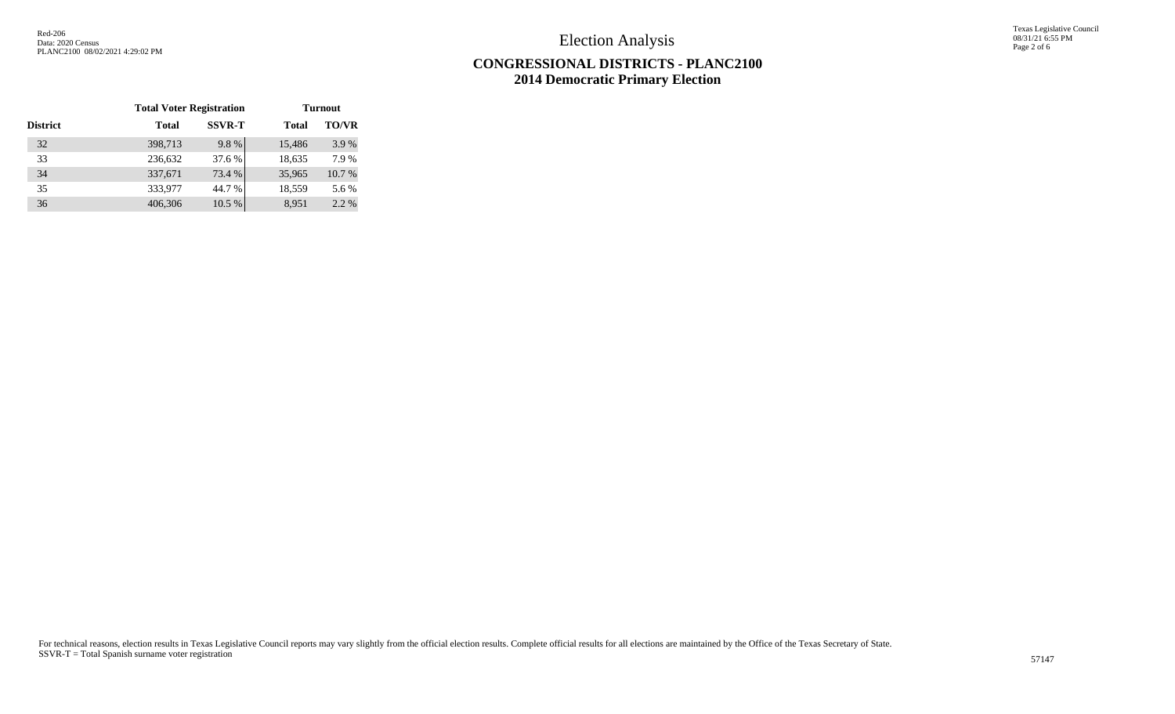Texas Legislative Council 08/31/21 6:55 PM Page 2 of 6

## **CONGRESSIONAL DISTRICTS - PLANC2100 2014 Democratic Primary Election**

|                 | <b>Total Voter Registration</b> |                               | <b>Turnout</b> |              |  |  |
|-----------------|---------------------------------|-------------------------------|----------------|--------------|--|--|
| <b>District</b> | <b>Total</b>                    | <b>SSVR-T</b><br><b>Total</b> |                | <b>TO/VR</b> |  |  |
| 32              | 398,713                         | 9.8%                          | 15,486         | 3.9%         |  |  |
| 33              | 236,632                         | 37.6 %                        | 18,635         | 7.9 %        |  |  |
| 34              | 337,671                         | 73.4 %                        | 35,965         | 10.7 %       |  |  |
| 35              | 333,977                         | 44.7 %                        | 18,559         | 5.6 %        |  |  |
| 36              | 406,306                         | 10.5 %                        | 8,951          | 2.2 %        |  |  |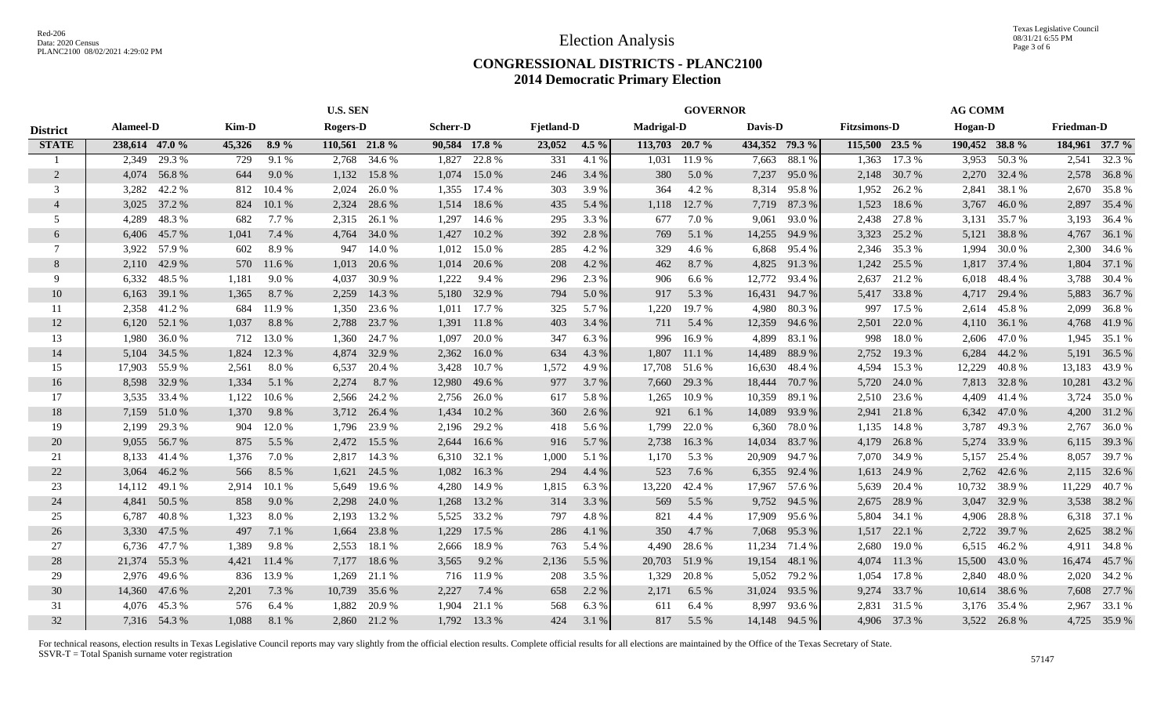#### **CONGRESSIONAL DISTRICTS - PLANC2100 2014 Democratic Primary Election**

|                 |                |              |        |         | <b>U.S. SEN</b> |              |                 |              |                   |         |                   | <b>GOVERNOR</b> |         |                |                     |              | <b>AG COMM</b> |        |                   |                |
|-----------------|----------------|--------------|--------|---------|-----------------|--------------|-----------------|--------------|-------------------|---------|-------------------|-----------------|---------|----------------|---------------------|--------------|----------------|--------|-------------------|----------------|
| <b>District</b> | Alameel-D      |              | Kim-D  |         | Rogers-D        |              | <b>Scherr-D</b> |              | <b>Fjetland-D</b> |         | <b>Madrigal-D</b> |                 | Davis-D |                | <b>Fitzsimons-D</b> |              | Hogan-D        |        | <b>Friedman-D</b> |                |
| <b>STATE</b>    | 238,614 47.0 % |              | 45,326 | $8.9\%$ | 110,561 21.8 %  |              | 90,584 17.8 %   |              | 23,052            | $4.5\%$ | 113,703 20.7 %    |                 |         | 434,352 79.3 % | 115,500 23.5 %      |              | 190,452 38.8 % |        |                   | 184,961 37.7 % |
|                 | 2,349          | 29.3 %       | 729    | 9.1%    | 2,768           | 34.6 %       | 1,827           | 22.8%        | 331               | 4.1%    | 1,031             | 11.9 %          | 7,663   | 88.1 %         | 1,363               | 17.3 %       | 3,953          | 50.3%  | 2,541             | 32.3 %         |
| 2               | 4,074          | 56.8%        | 644    | 9.0%    | 1,132           | 15.8%        | 1,074           | 15.0 %       | 246               | 3.4 %   | 380               | 5.0 %           | 7,237   | 95.0%          | 2,148               | 30.7 %       | 2,270          | 32.4 % |                   | 2,578 36.8 %   |
| 3               | 3,282          | 42.2 %       | 812    | 10.4 %  | 2,024           | 26.0%        | 1,355           | 17.4 %       | 303               | 3.9 %   | 364               | 4.2 %           | 8,314   | 95.8%          | 1,952               | 26.2 %       | 2,841          | 38.1 % | 2,670             | 35.8%          |
| $\overline{4}$  | 3,025          | 37.2 %       | 824    | 10.1%   | 2,324           | 28.6 %       | 1,514           | 18.6 %       | 435               | 5.4 %   | 1,118             | 12.7 %          | 7,719   | 87.3%          | 1,523               | 18.6%        | 3,767          | 46.0%  | 2,897             | 35.4 %         |
| 5               | 4,289          | 48.3%        | 682    | 7.7 %   | 2,315           | 26.1 %       | 1,297           | 14.6 %       | 295               | 3.3 %   | 677               | 7.0%            | 9,061   | 93.0%          | 2,438               | 27.8%        | 3,131          | 35.7 % | 3,193             | 36.4 %         |
| 6               | 6,406          | 45.7%        | 1,041  | 7.4 %   | 4,764           | 34.0%        | 1,427           | 10.2%        | 392               | 2.8%    | 769               | 5.1 %           | 14,255  | 94.9 %         | 3,323               | 25.2 %       | 5,121          | 38.8%  | 4,767             | 36.1 %         |
| 7               | 3,922          | 57.9 %       | 602    | 8.9%    | 947             | 14.0 %       | 1,012           | 15.0 %       | 285               | 4.2 %   | 329               | 4.6 %           | 6,868   | 95.4 %         | 2,346               | 35.3 %       | 1,994          | 30.0 % | 2,300             | 34.6 %         |
| 8               |                | 2,110 42.9 % | 570    | 11.6 %  | 1,013           | 20.6 %       | 1,014           | 20.6 %       | 208               | 4.2 %   | 462               | 8.7%            | 4,825   | 91.3%          | 1,242               | 25.5 %       | 1,817          | 37.4 % | 1,804             | 37.1 %         |
| 9               | 6,332          | 48.5 %       | 1,181  | 9.0%    | 4,037           | 30.9%        | 1,222           | 9.4 %        | 296               | 2.3 %   | 906               | 6.6 %           | 12,772  | 93.4 %         | 2,637               | 21.2%        | 6,018          | 48.4 % | 3,788             | 30.4 %         |
| 10              | 6,163          | 39.1 %       | 1,365  | 8.7 %   | 2,259           | 14.3 %       | 5,180           | 32.9 %       | 794               | 5.0 %   | 917               | 5.3 %           | 16,431  | 94.7%          | 5,417               | 33.8%        | 4,717          | 29.4 % | 5,883             | 36.7%          |
| 11              | 2,358          | 41.2%        | 684    | 11.9%   | 1,350           | 23.6 %       | 1,011           | 17.7 %       | 325               | 5.7 %   | 1,220             | 19.7%           | 4,980   | 80.3%          | 997                 | 17.5 %       | 2,614          | 45.8%  | 2,099             | 36.8%          |
| 12              | 6,120          | 52.1 %       | 1,037  | 8.8%    | 2,788           | 23.7 %       | 1,391           | 11.8%        | 403               | 3.4 %   | 711               | 5.4 %           | 12,359  | 94.6 %         | 2,501               | 22.0 %       | 4,110          | 36.1 % | 4,768             | 41.9%          |
| 13              | 1,980          | 36.0%        | 712    | 13.0 %  | 1,360           | 24.7 %       | 1,097           | 20.0%        | 347               | 6.3%    | 996               | 16.9%           | 4,899   | 83.1 %         | 998                 | 18.0%        | 2,606          | 47.0%  |                   | 1,945 35.1 %   |
| 14              | 5.104          | 34.5 %       | 1,824  | 12.3 %  | 4,874           | 32.9%        | 2,362           | 16.0%        | 634               | 4.3 %   | 1,807             | 11.1%           | 14,489  | 88.9%          | 2,752               | 19.3%        | 6,284          | 44.2 % | 5,191             | 36.5 %         |
| 15              | 17,903         | 55.9%        | 2,561  | 8.0%    | 6,537           | 20.4 %       | 3,428           | 10.7 %       | 1,572             | 4.9 %   | 17,708            | 51.6 %          | 16,630  | 48.4 %         | 4,594               | 15.3 %       | 12,229         | 40.8%  | 13,183            | 43.9%          |
| 16              | 8,598          | 32.9 %       | 1,334  | 5.1 %   | 2,274           | 8.7 %        | 12,980          | 49.6 %       | 977               | 3.7 %   | 7,660             | 29.3 %          | 18,444  | 70.7 %         | 5,720               | 24.0 %       | 7,813          | 32.8%  | 10,281            | 43.2 %         |
| 17              |                | 3,535 33.4 % | 1,122  | 10.6 %  | 2,566           | 24.2 %       | 2,756           | 26.0%        | 617               | 5.8%    | 1,265             | 10.9 %          | 10,359  | 89.1 %         | 2,510               | 23.6 %       | 4,409          | 41.4 % | 3,724             | 35.0 %         |
| 18              | 7,159          | 51.0%        | 1,370  | 9.8%    | 3,712           | 26.4 %       | 1,434           | 10.2%        | 360               | 2.6 %   | 921               | 6.1%            | 14,089  | 93.9 %         | 2,941               | 21.8%        | 6,342          | 47.0 % | 4,200             | 31.2 %         |
| 19              | 2,199          | 29.3 %       | 904    | 12.0%   | 1,796           | 23.9 %       | 2,196           | 29.2 %       | 418               | 5.6 %   | 1,799             | 22.0%           | 6,360   | 78.0%          | 1,135               | 14.8%        | 3,787          | 49.3%  | 2,767             | 36.0%          |
| 20              | 9,055          | 56.7%        | 875    | 5.5 %   | 2,472           | 15.5 %       | 2,644           | 16.6 %       | 916               | 5.7 %   | 2,738             | 16.3%           | 14,034  | 83.7 %         | 4,179               | 26.8%        | 5,274          | 33.9 % | 6,115             | 39.3 %         |
| 21              | 8,133          | 41.4 %       | 1,376  | 7.0 %   | 2,817           | 14.3 %       | 6,310           | 32.1 %       | 1,000             | 5.1 %   | 1,170             | 5.3 %           | 20,909  | 94.7%          | 7,070               | 34.9 %       | 5,157          | 25.4 % | 8,057             | 39.7 %         |
| 22              | 3,064          | 46.2%        | 566    | 8.5 %   | 1,621           | 24.5 %       | 1,082           | 16.3%        | 294               | 4.4 %   | 523               | 7.6 %           | 6,355   | 92.4 %         | 1,613               | 24.9%        | 2,762          | 42.6 % | 2,115             | 32.6 %         |
| 23              | 14,112         | 49.1 %       | 2.914  | 10.1 %  | 5,649           | 19.6 %       | 4,280           | 14.9%        | 1,815             | 6.3%    | 13,220            | 42.4 %          | 17,967  | 57.6 %         | 5,639               | 20.4 %       | 10,732         | 38.9%  | 11,229            | 40.7%          |
| 24              | 4,841          | 50.5 %       | 858    | 9.0%    | 2,298           | 24.0 %       | 1,268           | 13.2 %       | 314               | 3.3%    | 569               | 5.5 %           | 9,752   | 94.5 %         | 2,675               | 28.9%        | 3,047          | 32.9%  |                   | 3,538 38.2 %   |
| 25              | 6,787          | 40.8%        | 1,323  | 8.0%    | 2,193           | 13.2 %       | 5,525           | 33.2 %       | 797               | 4.8%    | 821               | 4.4 %           | 17,909  | 95.6%          | 5,804               | 34.1 %       | 4,906          | 28.8%  |                   | 6,318 37.1 %   |
| 26              | 3,330          | 47.5 %       | 497    | 7.1 %   | 1,664           | 23.8%        | 1,229           | 17.5 %       | 286               | 4.1 %   | 350               | 4.7 %           | 7,068   | 95.3 %         | 1,517               | 22.1 %       | 2,722          | 39.7 % |                   | 2,625 38.2 %   |
| 27              | 6,736          | 47.7 %       | 1,389  | 9.8%    | 2,553           | 18.1 %       | 2,666           | 18.9%        | 763               | 5.4 %   | 4,490             | 28.6 %          | 11,234  | 71.4 %         | 2,680               | 19.0%        | 6,515          | 46.2%  | 4,911             | 34.8%          |
| 28              | 21,374         | 55.3%        | 4,421  | 11.4 %  | 7,177           | 18.6%        | 3,565           | 9.2 %        | 2,136             | 5.5 %   | 20,703            | 51.9%           | 19,154  | 48.1 %         | 4,074               | 11.3 %       | 15,500         | 43.0 % | 16,474            | 45.7 %         |
| 29              |                | 2,976 49.6 % | 836    | 13.9 %  | 1,269           | 21.1 %       |                 | 716 11.9 %   | 208               | 3.5 %   | 1,329             | 20.8%           | 5,052   | 79.2 %         | 1,054               | 17.8%        | 2,840          | 48.0%  |                   | 2,020 34.2 %   |
| 30              | 14,360         | 47.6%        | 2,201  | 7.3 %   | 10,739          | 35.6 %       | 2,227           | 7.4 %        | 658               | 2.2 %   | 2,171             | 6.5 $%$         | 31,024  | 93.5 %         | 9,274               | 33.7 %       | 10,614         | 38.6 % | 7,608             | 27.7 %         |
| 31              |                | 4,076 45.3 % | 576    | 6.4 %   | 1,882           | 20.9%        | 1,904           | 21.1 %       | 568               | 6.3%    | 611               | 6.4%            | 8,997   | 93.6 %         | 2,831               | 31.5 %       | 3,176          | 35.4 % | 2,967             | 33.1 %         |
| 32              |                | 7,316 54.3 % | 1.088  | 8.1%    |                 | 2,860 21.2 % |                 | 1,792 13.3 % | 424               | 3.1 %   | 817               | 5.5 %           | 14,148  | 94.5 %         |                     | 4,906 37.3 % | 3,522          | 26.8%  |                   | 4,725 35.9 %   |
|                 |                |              |        |         |                 |              |                 |              |                   |         |                   |                 |         |                |                     |              |                |        |                   |                |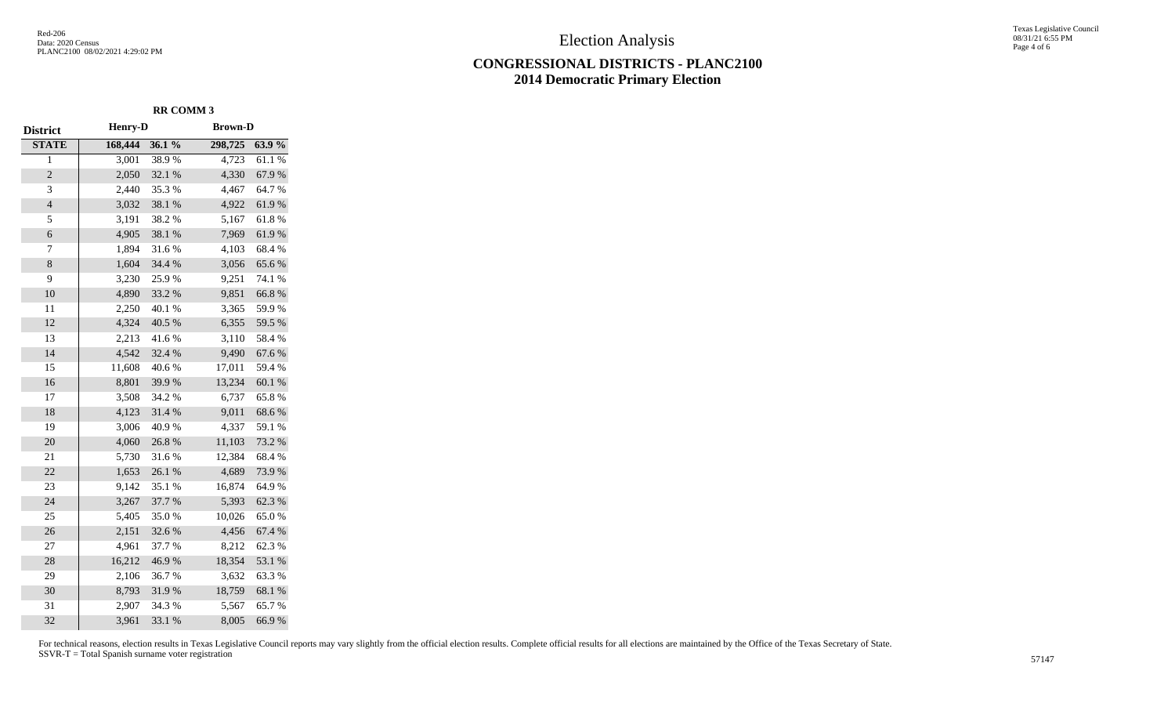#### **CONGRESSIONAL DISTRICTS - PLANC2100 2014 Democratic Primary Election**

Texas Legislative Council 08/31/21 6:55 PM Page 4 of 6

| <b>District</b>  | <b>Henry-D</b> |        | <b>Brown-D</b> |        |  |  |  |
|------------------|----------------|--------|----------------|--------|--|--|--|
| <b>STATE</b>     | 168,444        | 36.1 % | 298,725        | 63.9%  |  |  |  |
| $\overline{1}$   | 3,001          | 38.9%  | 4,723          | 61.1%  |  |  |  |
| $\overline{2}$   | 2,050          | 32.1 % | 4,330          | 67.9%  |  |  |  |
| 3                | 2,440          | 35.3%  | 4,467          | 64.7%  |  |  |  |
| $\overline{4}$   | 3,032          | 38.1 % | 4,922          | 61.9%  |  |  |  |
| 5                | 3,191          | 38.2%  | 5,167          | 61.8%  |  |  |  |
| 6                | 4,905          | 38.1 % | 7,969          | 61.9%  |  |  |  |
| $\boldsymbol{7}$ | 1,894          | 31.6%  | 4,103          | 68.4%  |  |  |  |
| $\,8$            | 1,604          | 34.4 % | 3,056          | 65.6%  |  |  |  |
| 9                | 3,230          | 25.9%  | 9,251          | 74.1 % |  |  |  |
| 10               | 4,890          | 33.2 % | 9,851          | 66.8%  |  |  |  |
| 11               | 2,250          | 40.1 % | 3,365          | 59.9%  |  |  |  |
| 12               | 4,324          | 40.5 % | 6,355          | 59.5 % |  |  |  |
| 13               | 2,213          | 41.6%  | 3,110          | 58.4%  |  |  |  |
| 14               | 4,542          | 32.4 % | 9,490          | 67.6%  |  |  |  |
| 15               | 11,608         | 40.6%  | 17,011         | 59.4%  |  |  |  |
| 16               | 8,801          | 39.9%  | 13,234         | 60.1 % |  |  |  |
| 17               | 3,508          | 34.2 % | 6,737          | 65.8%  |  |  |  |
| 18               | 4,123          | 31.4 % | 9,011          | 68.6%  |  |  |  |
| 19               | 3,006          | 40.9%  | 4,337          | 59.1 % |  |  |  |
| 20               | 4,060          | 26.8%  | 11,103         | 73.2 % |  |  |  |
| 21               | 5,730          | 31.6%  | 12,384         | 68.4%  |  |  |  |
| 22               | 1,653          | 26.1 % | 4,689          | 73.9%  |  |  |  |
| 23               | 9,142          | 35.1 % | 16,874         | 64.9%  |  |  |  |
| 24               | 3,267          | 37.7 % | 5,393          | 62.3 % |  |  |  |
| 25               | 5,405          | 35.0%  | 10,026         | 65.0%  |  |  |  |
| 26               | 2,151          | 32.6%  | 4,456          | 67.4 % |  |  |  |
| 27               | 4,961          | 37.7 % | 8,212          | 62.3%  |  |  |  |
| 28               | 16,212         | 46.9%  | 18,354         | 53.1 % |  |  |  |
| 29               | 2,106          | 36.7%  | 3,632          | 63.3%  |  |  |  |
| 30               | 8,793          | 31.9%  | 18,759         | 68.1 % |  |  |  |
| 31               | 2,907          | 34.3 % | 5,567          | 65.7%  |  |  |  |
| 32               | 3,961          | 33.1 % | 8,005          | 66.9%  |  |  |  |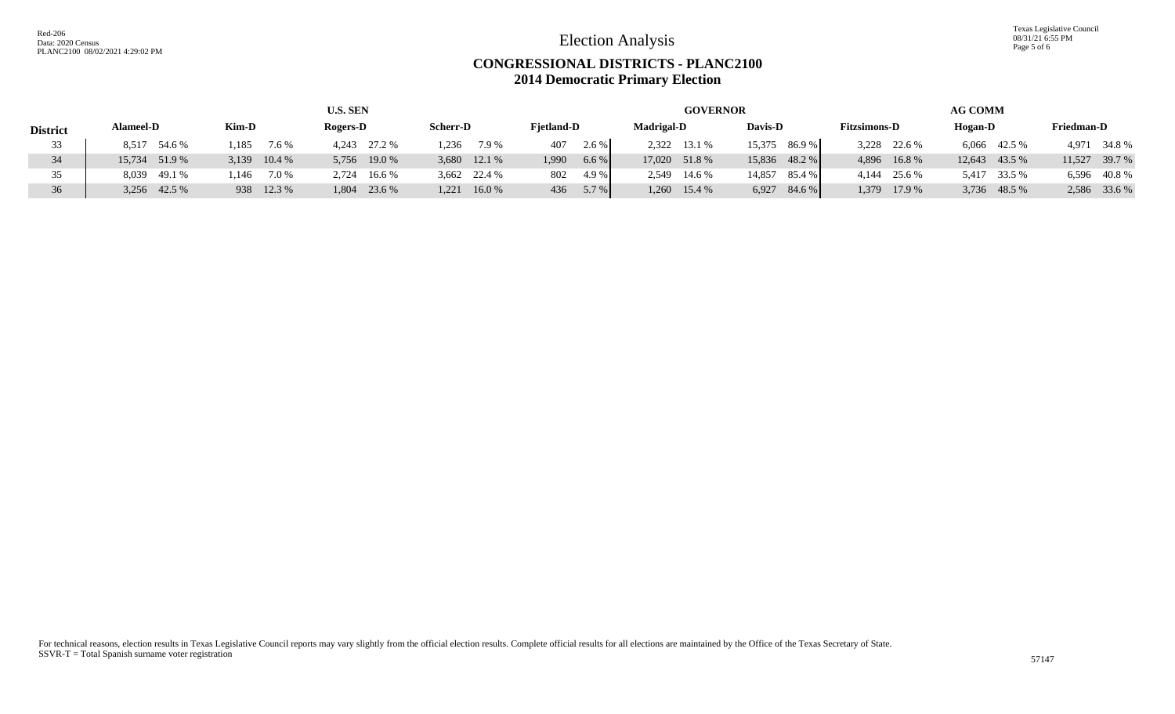Texas Legislative Council 08/31/21 6:55 PM Page 5 of 6

#### **CONGRESSIONAL DISTRICTS - PLANC2100 2014 Democratic Primary Election**

|                    | U.S. SEN         |                |                 |                 |                   | <b>AG COMM</b><br><b>GOVERNOR</b> |                |                     |               |                   |
|--------------------|------------------|----------------|-----------------|-----------------|-------------------|-----------------------------------|----------------|---------------------|---------------|-------------------|
| <b>District</b>    | <b>Alameel-D</b> | Kim-D          | <b>Rogers-D</b> | <b>Scherr-D</b> | <b>Fietland-D</b> | <b>Madrigal-D</b>                 | Davis-D        | <b>Fitzsimons-D</b> | Hogan-D       | <b>Friedman-D</b> |
| 33                 | 8,517 54.6 %     | 1.185<br>7.6 % | 4,243 27.2 %    | 1.236<br>7.9 %  | 2.6 %<br>407      | 2,322 13.1 %                      | 15,375 86.9 %  | 3,228 22.6 %        | 6,066 42.5 %  | 4,971 34.8 %      |
|                    | 15,734 51.9 %    | 3,139 10.4 %   | 5,756 19.0 %    | 3,680 12.1 %    | 6.6%<br>1,990     | 17,020 51.8 %                     | 15,836 48.2 %  | 4,896 16.8%         | 12,643 43.5 % | 39.7 %<br>11,527  |
| 35                 | 8,039 49.1 %     | 7.0 %<br>l.146 | 2,724 16.6 %    | 3,662 22.4 %    | 4.9 %<br>802      | 2.549<br>14.6 %                   | 14,857 85.4 %  | 4,144 25.6 %        | 5,417 33.5 %  | 6,596 40.8 %      |
| $36^{\circ}$<br>υU | 3,256 42.5 %     | 938 12.3 %     | 1,804 23.6 %    | 16.0%<br>1,221  | 5.7 %<br>436      | 1.260<br>15.4 %                   | 84.6%<br>6,927 | 17.9 %<br>1,379     | 3,736 48.5 %  | 2,586 33.6 %      |